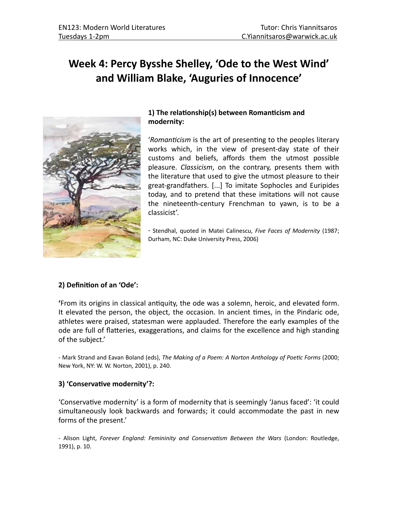# Week 4: Percy Bysshe Shelley, 'Ode to the West Wind' **and William Blake, 'Auguries of Innocence'**



## 1) The relationship(s) between Romanticism and **modernity:**

'*Romanticism* is the art of presenting to the peoples literary works which, in the view of present-day state of their customs and beliefs, affords them the utmost possible pleasure. *Classicism*, on the contrary, presents them with the literature that used to give the utmost pleasure to their great-grandfathers. [...] To imitate Sophocles and Euripides today, and to pretend that these imitations will not cause the nineteenth-century Frenchman to yawn, is to be a classicist'. 

- Stendhal, quoted in Matei Calinescu, *Five Faces of Modernity* (1987; Durham, NC: Duke University Press, 2006)

## **2) Definition of an 'Ode':**

**From its origins in classical antiquity, the ode was a solemn, heroic, and elevated form.** It elevated the person, the object, the occasion. In ancient times, in the Pindaric ode, athletes were praised, statesman were applauded. Therefore the early examples of the ode are full of flatteries, exaggerations, and claims for the excellence and high standing of the subject.'

- Mark Strand and Eavan Boland (eds), The Making of a Poem: A Norton Anthology of Poetic Forms (2000; New York, NY: W. W. Norton, 2001), p. 240.

### **3) 'Conservative modernity'?:**

'Conservative modernity' is a form of modernity that is seemingly 'Janus faced': 'it could simultaneously look backwards and forwards; it could accommodate the past in new forms of the present.'

- Alison Light, *Forever England: Femininity and Conservatism Between the Wars* (London: Routledge, 1991), p. 10.